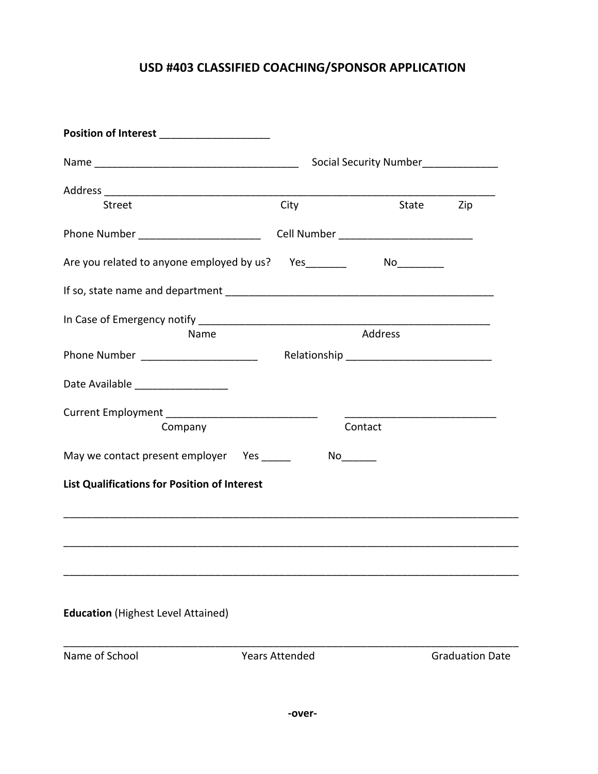## **USD #403 CLASSIFIED COACHING/SPONSOR APPLICATION**

| Position of Interest ______________________                                       |                       |         |                        |  |  |
|-----------------------------------------------------------------------------------|-----------------------|---------|------------------------|--|--|
|                                                                                   |                       |         |                        |  |  |
|                                                                                   |                       |         |                        |  |  |
| <b>Street</b>                                                                     | City                  |         | State Zip              |  |  |
| Phone Number ___________________________________Cell Number _____________________ |                       |         |                        |  |  |
| Are you related to anyone employed by us? Yes_______                              |                       |         |                        |  |  |
|                                                                                   |                       |         |                        |  |  |
|                                                                                   |                       |         |                        |  |  |
| Name                                                                              |                       | Address |                        |  |  |
| Phone Number __________________________                                           |                       |         |                        |  |  |
| Date Available ___________________                                                |                       |         |                        |  |  |
|                                                                                   |                       |         |                        |  |  |
| Company                                                                           |                       | Contact |                        |  |  |
| May we contact present employer Yes _____                                         |                       |         |                        |  |  |
| <b>List Qualifications for Position of Interest</b>                               |                       |         |                        |  |  |
|                                                                                   |                       |         |                        |  |  |
|                                                                                   |                       |         |                        |  |  |
|                                                                                   |                       |         |                        |  |  |
| <b>Education</b> (Highest Level Attained)                                         |                       |         |                        |  |  |
| Name of School                                                                    | <b>Years Attended</b> |         | <b>Graduation Date</b> |  |  |